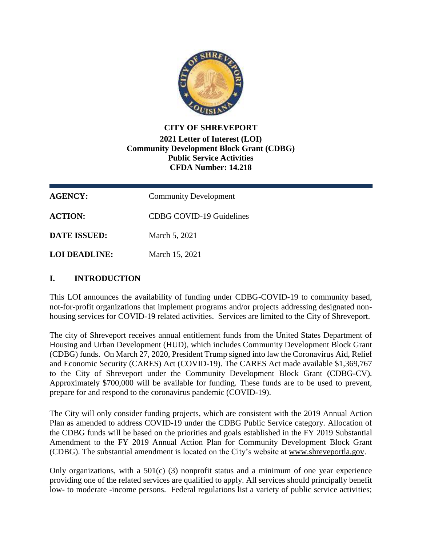

## **CITY OF SHREVEPORT 2021 Letter of Interest (LOI) Community Development Block Grant (CDBG) Public Service Activities CFDA Number: 14.218**

| <b>AGENCY:</b>      | <b>Community Development</b>    |
|---------------------|---------------------------------|
| <b>ACTION:</b>      | <b>CDBG COVID-19 Guidelines</b> |
| <b>DATE ISSUED:</b> | March 5, 2021                   |
| LOI DEADLINE:       | March 15, 2021                  |

# **I. INTRODUCTION**

This LOI announces the availability of funding under CDBG-COVID-19 to community based, not-for-profit organizations that implement programs and/or projects addressing designated nonhousing services for COVID-19 related activities. Services are limited to the City of Shreveport.

The city of Shreveport receives annual entitlement funds from the United States Department of Housing and Urban Development (HUD), which includes Community Development Block Grant (CDBG) funds. On March 27, 2020, President Trump signed into law the Coronavirus Aid, Relief and Economic Security (CARES) Act (COVID-19). The CARES Act made available \$1,369,767 to the City of Shreveport under the Community Development Block Grant (CDBG-CV). Approximately \$700,000 will be available for funding. These funds are to be used to prevent, prepare for and respond to the coronavirus pandemic (COVID-19).

The City will only consider funding projects, which are consistent with the 2019 Annual Action Plan as amended to address COVID-19 under the CDBG Public Service category. Allocation of the CDBG funds will be based on the priorities and goals established in the FY 2019 Substantial Amendment to the FY 2019 Annual Action Plan for Community Development Block Grant (CDBG). The substantial amendment is located on the City's website at [www.shreveportla.gov.](http://www.shreveportla.gov/)

Only organizations, with a  $501(c)$  (3) nonprofit status and a minimum of one year experience providing one of the related services are qualified to apply. All services should principally benefit low- to moderate -income persons. Federal regulations list a variety of public service activities;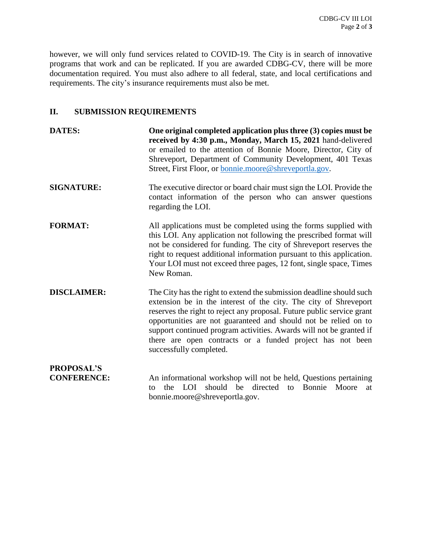however, we will only fund services related to COVID-19. The City is in search of innovative programs that work and can be replicated. If you are awarded CDBG-CV, there will be more documentation required. You must also adhere to all federal, state, and local certifications and requirements. The city's insurance requirements must also be met.

# **II. SUBMISSION REQUIREMENTS**

| <b>DATES:</b>      | One original completed application plus three (3) copies must be<br>received by 4:30 p.m., Monday, March 15, 2021 hand-delivered<br>or emailed to the attention of Bonnie Moore, Director, City of<br>Shreveport, Department of Community Development, 401 Texas<br>Street, First Floor, or bonnie.moore@shreveportla.gov.                                                                                                                           |
|--------------------|------------------------------------------------------------------------------------------------------------------------------------------------------------------------------------------------------------------------------------------------------------------------------------------------------------------------------------------------------------------------------------------------------------------------------------------------------|
| <b>SIGNATURE:</b>  | The executive director or board chair must sign the LOI. Provide the<br>contact information of the person who can answer questions<br>regarding the LOI.                                                                                                                                                                                                                                                                                             |
| <b>FORMAT:</b>     | All applications must be completed using the forms supplied with<br>this LOI. Any application not following the prescribed format will<br>not be considered for funding. The city of Shreveport reserves the<br>right to request additional information pursuant to this application.<br>Your LOI must not exceed three pages, 12 font, single space, Times<br>New Roman.                                                                            |
| <b>DISCLAIMER:</b> | The City has the right to extend the submission deadline should such<br>extension be in the interest of the city. The city of Shreveport<br>reserves the right to reject any proposal. Future public service grant<br>opportunities are not guaranteed and should not be relied on to<br>support continued program activities. Awards will not be granted if<br>there are open contracts or a funded project has not been<br>successfully completed. |
| <b>PROPOSAL'S</b>  |                                                                                                                                                                                                                                                                                                                                                                                                                                                      |
| <b>CONFERENCE:</b> | An informational workshop will not be held, Questions pertaining<br>should<br>be directed<br>Bonnie<br>the<br>LOI.<br>Moore<br>to<br>to<br>at<br>bonnie.moore@shreveportla.gov.                                                                                                                                                                                                                                                                      |